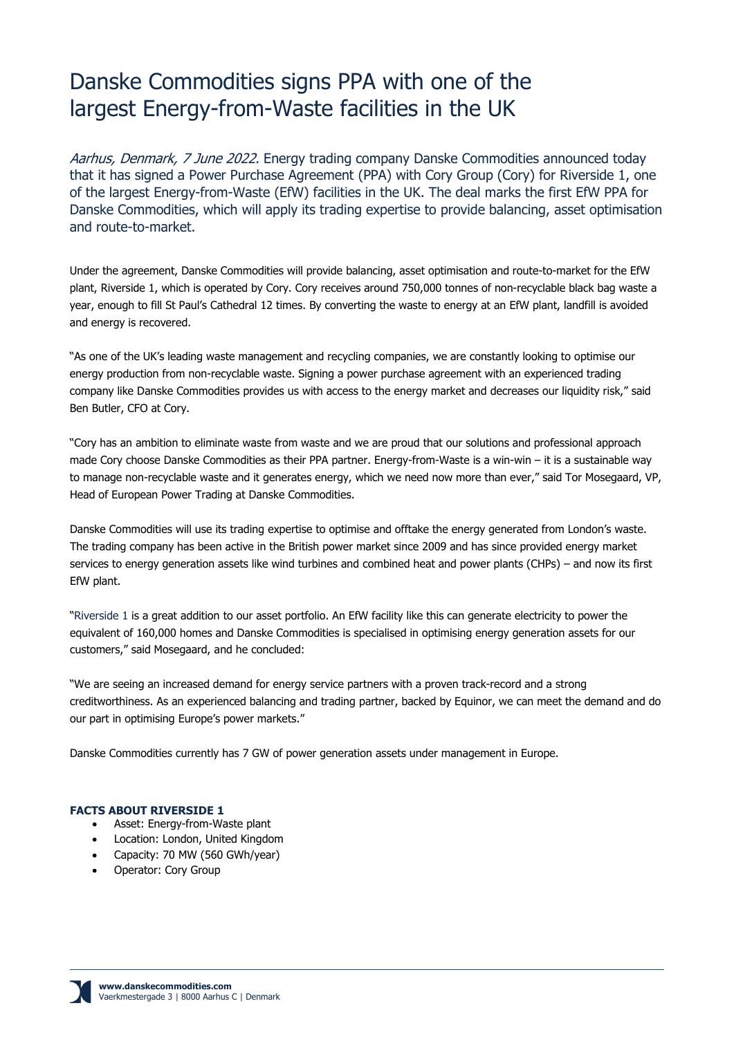# Danske Commodities signs PPA with one of the largest Energy-from-Waste facilities in the UK

Aarhus, Denmark, 7 June 2022. Energy trading company Danske Commodities announced today that it has signed a Power Purchase Agreement (PPA) with Cory Group (Cory) for Riverside 1, one of the largest Energy-from-Waste (EfW) facilities in the UK. The deal marks the first EfW PPA for Danske Commodities, which will apply its trading expertise to provide balancing, asset optimisation and route-to-market.

Under the agreement, Danske Commodities will provide balancing, asset optimisation and route-to-market for the EfW plant, Riverside 1, which is operated by Cory. Cory receives around 750,000 tonnes of non-recyclable black bag waste a year, enough to fill St Paul's Cathedral 12 times. By converting the waste to energy at an EfW plant, landfill is avoided and energy is recovered.

"As one of the UK's leading waste management and recycling companies, we are constantly looking to optimise our energy production from non-recyclable waste. Signing a power purchase agreement with an experienced trading company like Danske Commodities provides us with access to the energy market and decreases our liquidity risk," said Ben Butler, CFO at Cory.

"Cory has an ambition to eliminate waste from waste and we are proud that our solutions and professional approach made Cory choose Danske Commodities as their PPA partner. Energy-from-Waste is a win-win – it is a sustainable way to manage non-recyclable waste and it generates energy, which we need now more than ever," said Tor Mosegaard, VP, Head of European Power Trading at Danske Commodities.

Danske Commodities will use its trading expertise to optimise and offtake the energy generated from London's waste. The trading company has been active in the British power market since 2009 and has since provided energy market services to energy generation assets like wind turbines and combined heat and power plants (CHPs) – and now its first EfW plant.

"Riverside 1 is a great addition to our asset portfolio. An EfW facility like this can generate electricity to power the equivalent of 160,000 homes and Danske Commodities is specialised in optimising energy generation assets for our customers," said Mosegaard, and he concluded:

"We are seeing an increased demand for energy service partners with a proven track-record and a strong creditworthiness. As an experienced balancing and trading partner, backed by Equinor, we can meet the demand and do our part in optimising Europe's power markets."

Danske Commodities currently has 7 GW of power generation assets under management in Europe.

## **FACTS ABOUT RIVERSIDE 1**

- Asset: Energy-from-Waste plant
- Location: London, United Kingdom
- Capacity: 70 MW (560 GWh/year)
- Operator: Cory Group